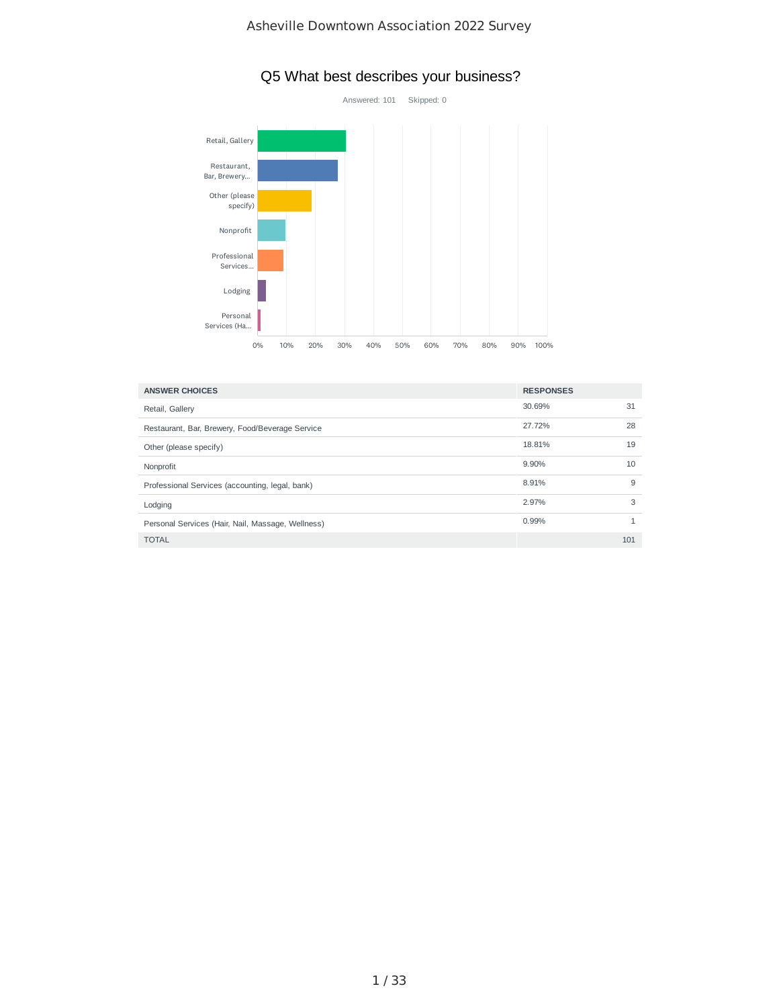

## Q5 What best describes your business?

| <b>ANSWER CHOICES</b>                             | <b>RESPONSES</b> |     |
|---------------------------------------------------|------------------|-----|
| Retail, Gallery                                   | 30.69%           | 31  |
| Restaurant, Bar, Brewery, Food/Beverage Service   | 27.72%           | 28  |
| Other (please specify)                            | 18.81%           | 19  |
| Nonprofit                                         | 9.90%            | 10  |
| Professional Services (accounting, legal, bank)   | 8.91%            | 9   |
| Lodging                                           | 2.97%            | 3   |
| Personal Services (Hair, Nail, Massage, Wellness) | 0.99%            |     |
| <b>TOTAL</b>                                      |                  | 101 |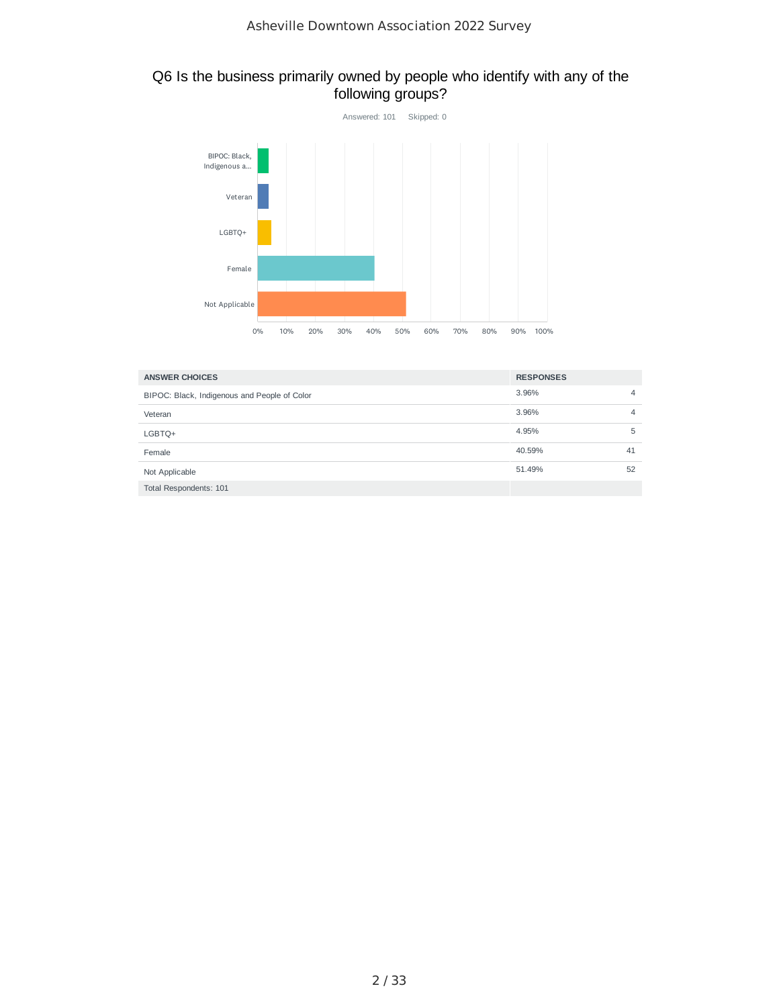#### Q6 Is the business primarily owned by people who identify with any of the following groups?



| <b>ANSWER CHOICES</b>                        | <b>RESPONSES</b> |    |
|----------------------------------------------|------------------|----|
| BIPOC: Black, Indigenous and People of Color | 3.96%            | 4  |
| Veteran                                      | 3.96%            | 4  |
| LGBTQ+                                       | 4.95%            | 5  |
| Female                                       | 40.59%           | 41 |
| Not Applicable                               | 51.49%           | 52 |
| Total Respondents: 101                       |                  |    |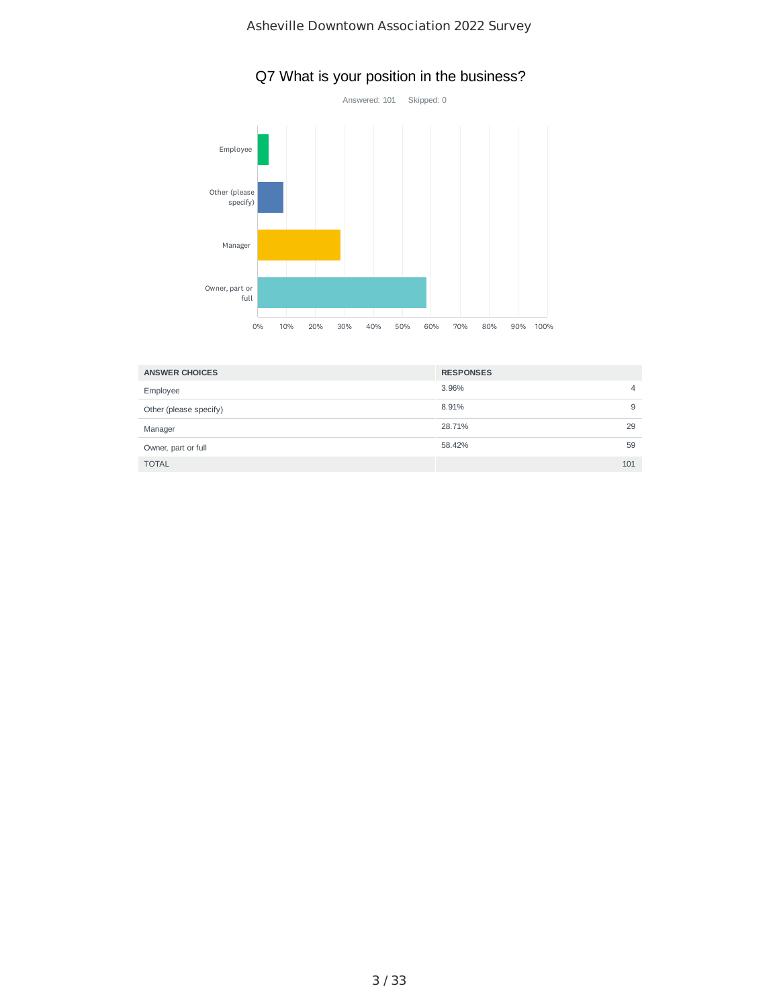

## Q7 What is your position in the business?

| <b>ANSWER CHOICES</b>  | <b>RESPONSES</b> |     |
|------------------------|------------------|-----|
| Employee               | 3.96%            | 4   |
| Other (please specify) | 8.91%            | 9   |
| Manager                | 28.71%           | 29  |
| Owner, part or full    | 58.42%           | 59  |
| <b>TOTAL</b>           |                  | 101 |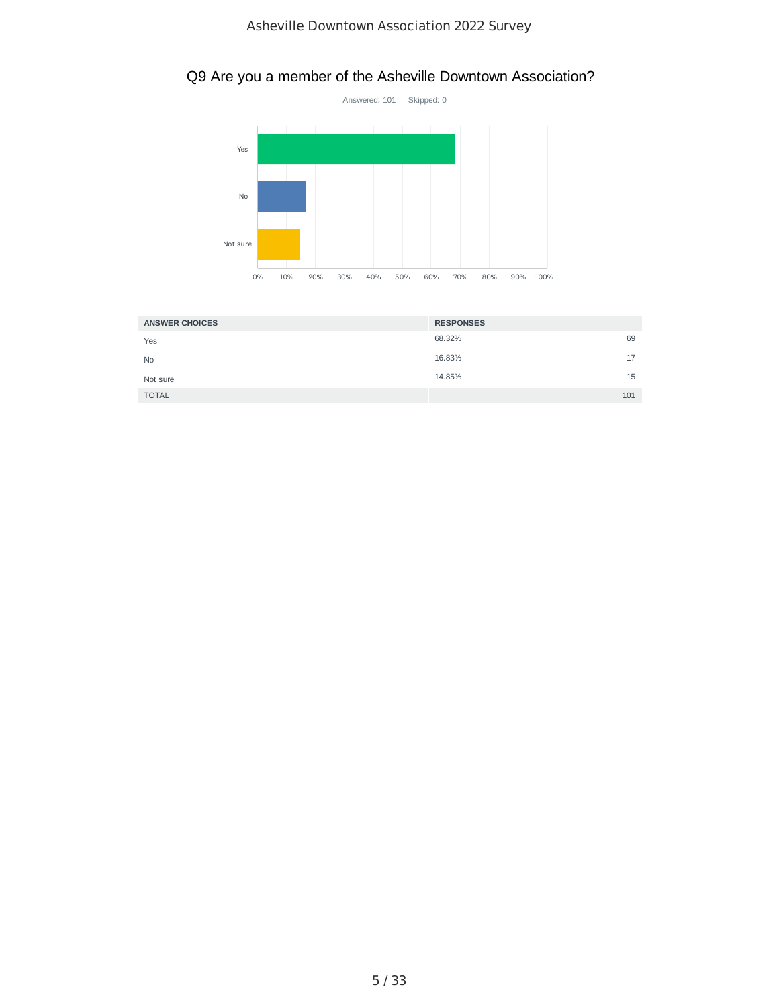## Q9 Are you a member of the Asheville Downtown Association?



| <b>ANSWER CHOICES</b> | <b>RESPONSES</b> |
|-----------------------|------------------|
| Yes                   | 68.32%<br>69     |
| <b>No</b>             | 16.83%<br>17     |
| Not sure              | 14.85%<br>15     |
| <b>TOTAL</b>          | 101              |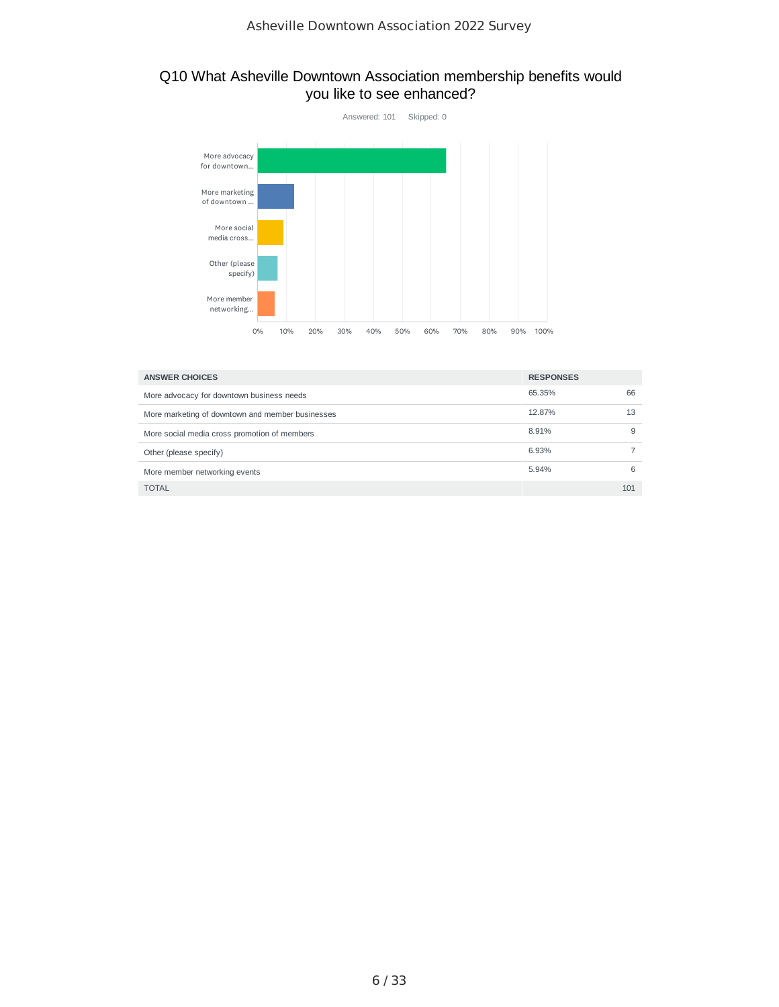#### Q10 What Asheville Downtown Association membership benefits would you like to see enhanced?



| <b>ANSWER CHOICES</b>                            | <b>RESPONSES</b> |     |
|--------------------------------------------------|------------------|-----|
| More advocacy for downtown business needs        | 65.35%           | 66  |
| More marketing of downtown and member businesses | 12.87%           | 13  |
| More social media cross promotion of members     | 8.91%            | 9   |
| Other (please specify)                           | 6.93%            |     |
| More member networking events                    | 5.94%            | 6   |
| <b>TOTAL</b>                                     |                  | 101 |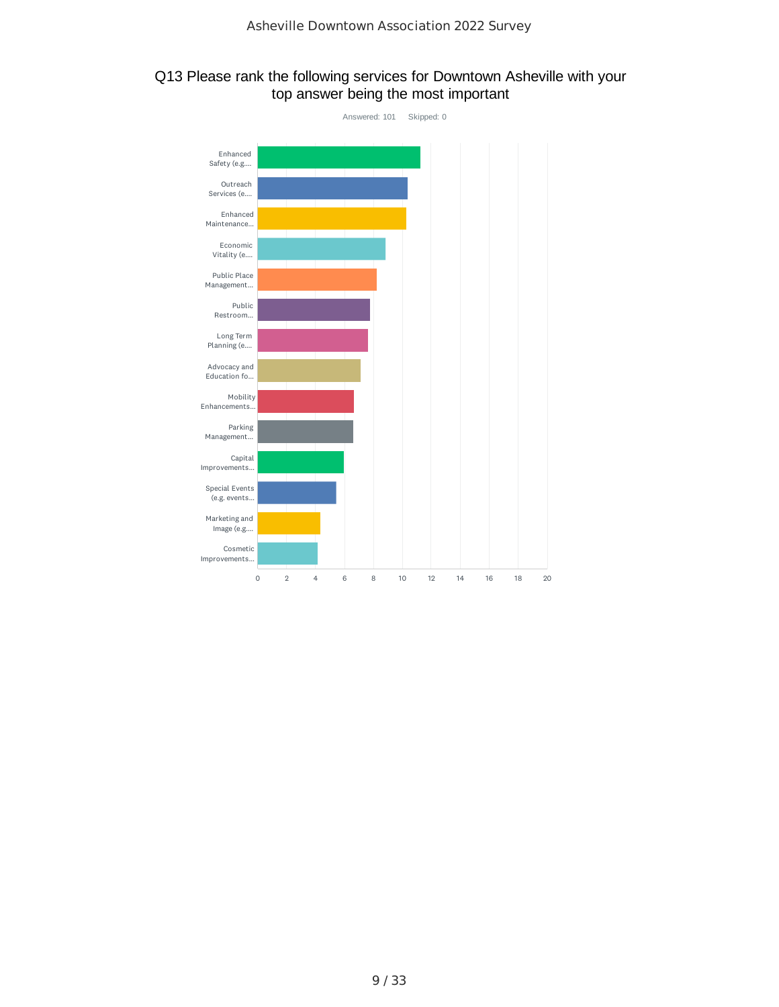#### Q13 Please rank the following services for Downtown Asheville with your top answer being the most important

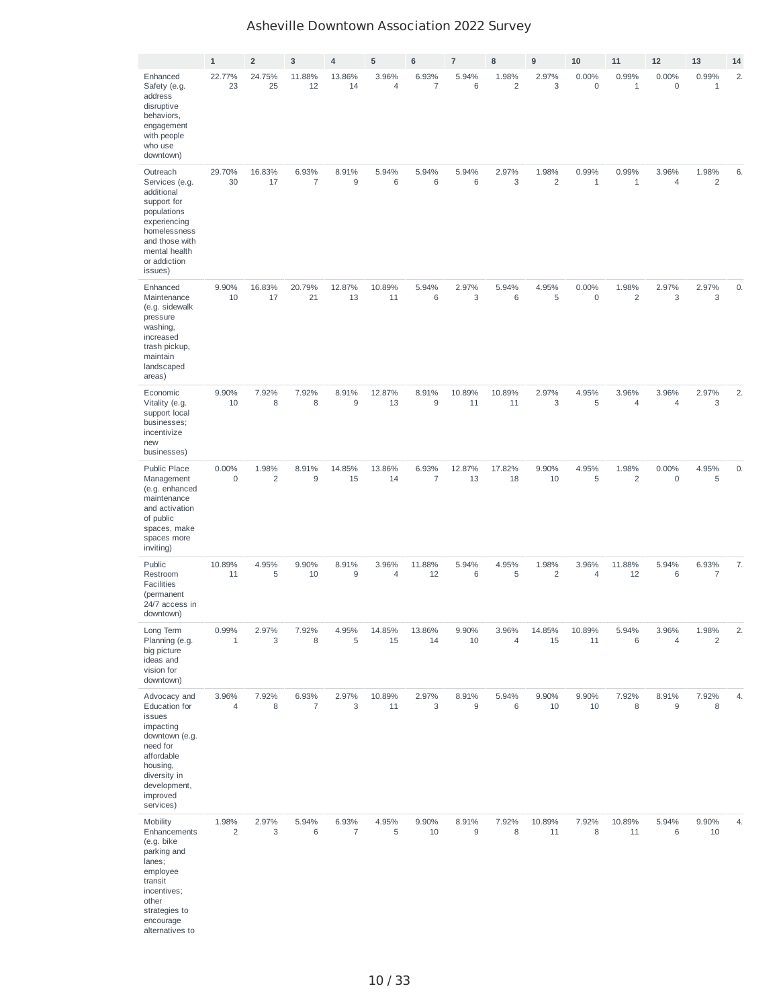|                                                                                                                                                                       | $\mathbf 1$             | $\overline{2}$          | $\mathsf 3$             | $\overline{4}$          | 5              | 6                       | $\overline{7}$ | 8                       | 9                       | 10                    | 11                      | 12                   | 13                      | 14 |
|-----------------------------------------------------------------------------------------------------------------------------------------------------------------------|-------------------------|-------------------------|-------------------------|-------------------------|----------------|-------------------------|----------------|-------------------------|-------------------------|-----------------------|-------------------------|----------------------|-------------------------|----|
| Enhanced<br>Safety (e.g.<br>address<br>disruptive<br>behaviors,<br>engagement<br>with people<br>who use<br>downtown)                                                  | 22.77%<br>23            | 24.75%<br>25            | 11.88%<br>12            | 13.86%<br>14            | 3.96%<br>4     | 6.93%<br>$\overline{7}$ | 5.94%<br>6     | 1.98%<br>$\overline{c}$ | 2.97%<br>3              | 0.00%<br>0            | 0.99%<br>$1\,$          | 0.00%<br>$\mathbf 0$ | 0.99%<br>$\mathbf{1}$   | 2. |
| Outreach<br>Services (e.g.<br>additional<br>support for<br>populations<br>experiencing<br>homelessness<br>and those with<br>mental health<br>or addiction<br>issues)  | 29.70%<br>30            | 16.83%<br>17            | 6.93%<br>$\overline{7}$ | 8.91%<br>9              | 5.94%<br>$6\,$ | 5.94%<br>6              | 5.94%<br>6     | 2.97%<br>3              | 1.98%<br>$\overline{c}$ | 0.99%<br>$\mathbf{1}$ | 0.99%<br>$1\,$          | 3.96%<br>4           | 1.98%<br>$\overline{c}$ | 6. |
| Enhanced<br>Maintenance<br>(e.g. sidewalk<br>pressure<br>washing,<br>increased<br>trash pickup,<br>maintain<br>landscaped<br>areas)                                   | 9.90%<br>10             | 16.83%<br>17            | 20.79%<br>21            | 12.87%<br>13            | 10.89%<br>11   | 5.94%<br>$\,$ 6         | 2.97%<br>3     | 5.94%<br>$6\,$          | 4.95%<br>5              | 0.00%<br>$\mathsf 0$  | 1.98%<br>$\overline{c}$ | 2.97%<br>3           | 2.97%<br>3              | 0. |
| Economic<br>Vitality (e.g.<br>support local<br>businesses;<br>incentivize<br>new<br>businesses)                                                                       | 9.90%<br>10             | 7.92%<br>8              | 7.92%<br>8              | 8.91%<br>$9$            | 12.87%<br>13   | 8.91%<br>9              | 10.89%<br>11   | 10.89%<br>11            | 2.97%<br>3              | 4.95%<br>5            | 3.96%<br>$\overline{4}$ | 3.96%<br>4           | 2.97%<br>3              | 2. |
| Public Place<br>Management<br>(e.g. enhanced<br>maintenance<br>and activation<br>of public<br>spaces, make<br>spaces more<br>inviting)                                | 0.00%<br>$\mathsf 0$    | 1.98%<br>$\overline{c}$ | 8.91%<br>9              | 14.85%<br>15            | 13.86%<br>14   | 6.93%<br>$\overline{7}$ | 12.87%<br>13   | 17.82%<br>18            | 9.90%<br>10             | 4.95%<br>5            | 1.98%<br>2              | 0.00%<br>0           | 4.95%<br>5              | 0. |
| Public<br>Restroom<br><b>Facilities</b><br>(permanent<br>24/7 access in<br>downtown)                                                                                  | 10.89%<br>11            | 4.95%<br>5              | 9.90%<br>10             | 8.91%<br>9              | 3.96%<br>4     | 11.88%<br>12            | 5.94%<br>6     | 4.95%<br>5              | 1.98%<br>2              | 3.96%<br>4            | 11.88%<br>12            | 5.94%<br>6           | 6.93%<br>7              | 7. |
| Long Term<br>Planning (e.g.<br>big picture<br>ideas and<br>vision for<br>downtown)                                                                                    | 0.99%<br>$1\,$          | 2.97%<br>3              | 7.92%<br>8              | 4.95%<br>5              | 14.85%<br>15   | 13.86%<br>14            | 9.90%<br>10    | 3.96%<br>4              | 14.85%<br>15            | 10.89%<br>11          | 5.94%<br>6              | 3.96%<br>4           | 1.98%<br>$\overline{c}$ | 2. |
| Advocacy and<br>Education for<br>issues<br>impacting<br>downtown (e.g.<br>need for<br>affordable<br>housing,<br>diversity in<br>development,<br>improved<br>services) | 3.96%<br>4              | 7.92%<br>8              | 6.93%<br>$\overline{7}$ | 2.97%<br>3              | 10.89%<br>11   | 2.97%<br>3              | 8.91%<br>9     | 5.94%<br>6              | 9.90%<br>10             | 9.90%<br>10           | 7.92%<br>8              | 8.91%<br>9           | 7.92%<br>8              | 4. |
| Mobility<br>Enhancements<br>(e.g. bike<br>parking and<br>lanes;<br>employee<br>transit<br>incentives;<br>other<br>strategies to<br>encourage<br>alternatives to       | 1.98%<br>$\overline{c}$ | 2.97%<br>3              | 5.94%<br>$6\,$          | 6.93%<br>$\overline{7}$ | 4.95%<br>5     | 9.90%<br>10             | 8.91%<br>9     | 7.92%<br>8              | 10.89%<br>11            | 7.92%<br>8            | 10.89%<br>11            | 5.94%<br>6           | 9.90%<br>10             | 4. |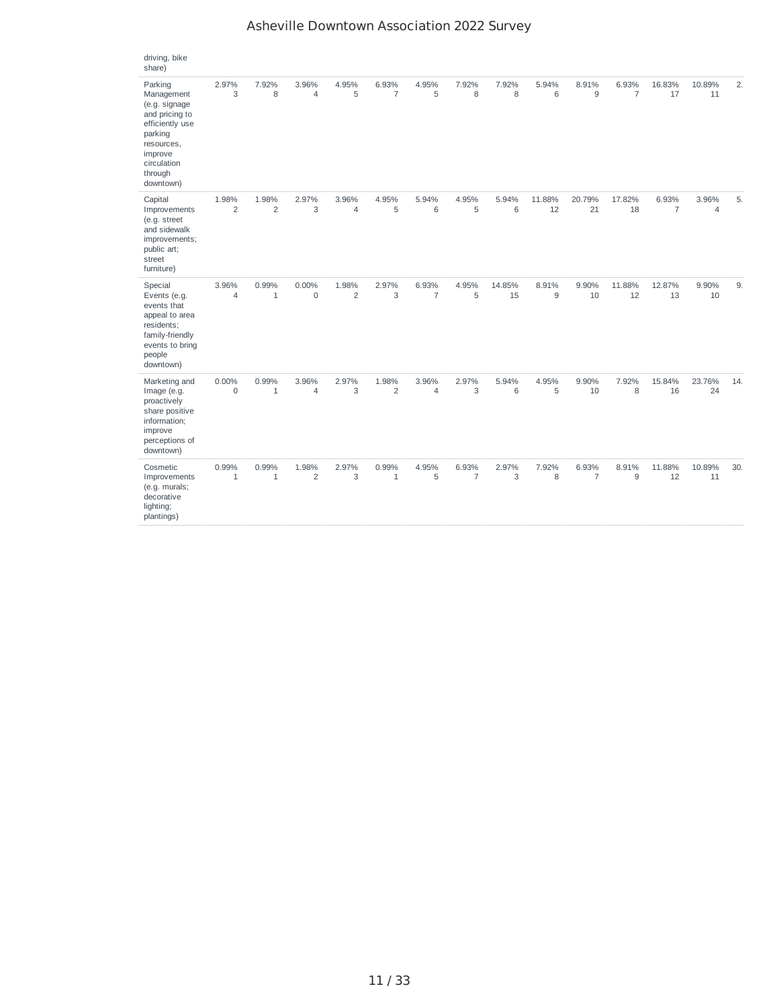| Asheville Downtown Association 2022 Survey |  |  |  |
|--------------------------------------------|--|--|--|
|--------------------------------------------|--|--|--|

| driving, bike<br>share)                                                                                                                                |                         |                         |                         |                         |                         |                         |                         |              |              |                         |                         |                         |                         |     |
|--------------------------------------------------------------------------------------------------------------------------------------------------------|-------------------------|-------------------------|-------------------------|-------------------------|-------------------------|-------------------------|-------------------------|--------------|--------------|-------------------------|-------------------------|-------------------------|-------------------------|-----|
| Parking<br>Management<br>(e.g. signage<br>and pricing to<br>efficiently use<br>parking<br>resources,<br>improve<br>circulation<br>through<br>downtown) | 2.97%<br>3              | 7.92%<br>8              | 3.96%<br>4              | 4.95%<br>5              | 6.93%<br>$\overline{7}$ | 4.95%<br>5              | 7.92%<br>8              | 7.92%<br>8   | 5.94%<br>6   | 8.91%<br>9              | 6.93%<br>$\overline{7}$ | 16.83%<br>17            | 10.89%<br>11            | 2.  |
| Capital<br>Improvements<br>(e.g. street<br>and sidewalk<br>improvements;<br>public art;<br>street<br>furniture)                                        | 1.98%<br>$\overline{2}$ | 1.98%<br>$\overline{2}$ | 2.97%<br>3              | 3.96%<br>$\overline{4}$ | 4.95%<br>5              | 5.94%<br>6              | 4.95%<br>5              | 5.94%<br>6   | 11.88%<br>12 | 20.79%<br>21            | 17.82%<br>18            | 6.93%<br>$\overline{7}$ | 3.96%<br>$\overline{4}$ | 5.  |
| Special<br>Events (e.g.<br>events that<br>appeal to area<br>residents;<br>family-friendly<br>events to bring<br>people<br>downtown)                    | 3.96%<br>$\overline{4}$ | 0.99%<br>$\mathbf{1}$   | 0.00%<br>$\mathbf 0$    | 1.98%<br>$\overline{c}$ | 2.97%<br>3              | 6.93%<br>$\overline{7}$ | 4.95%<br>5              | 14.85%<br>15 | 8.91%<br>9   | 9.90%<br>10             | 11.88%<br>12            | 12.87%<br>13            | 9.90%<br>10             | 9.  |
| Marketing and<br>Image (e.g.<br>proactively<br>share positive<br>information;<br>improve<br>perceptions of<br>downtown)                                | 0.00%<br>$\Omega$       | 0.99%<br>$\mathbf{1}$   | 3.96%<br>4              | 2.97%<br>3              | 1.98%<br>$\overline{2}$ | 3.96%<br>$\overline{4}$ | 2.97%<br>3              | 5.94%<br>6   | 4.95%<br>5   | 9.90%<br>10             | 7.92%<br>8              | 15.84%<br>16            | 23.76%<br>24            | 14. |
| Cosmetic<br>Improvements<br>(e.g. murals;<br>decorative<br>lighting;<br>plantings)                                                                     | 0.99%<br>$\mathbf{1}$   | 0.99%<br>$\mathbf{1}$   | 1.98%<br>$\overline{2}$ | 2.97%<br>3              | 0.99%<br>$\mathbf{1}$   | 4.95%<br>5              | 6.93%<br>$\overline{7}$ | 2.97%<br>3   | 7.92%<br>8   | 6.93%<br>$\overline{7}$ | 8.91%<br>9              | 11.88%<br>12            | 10.89%<br>11            | 30. |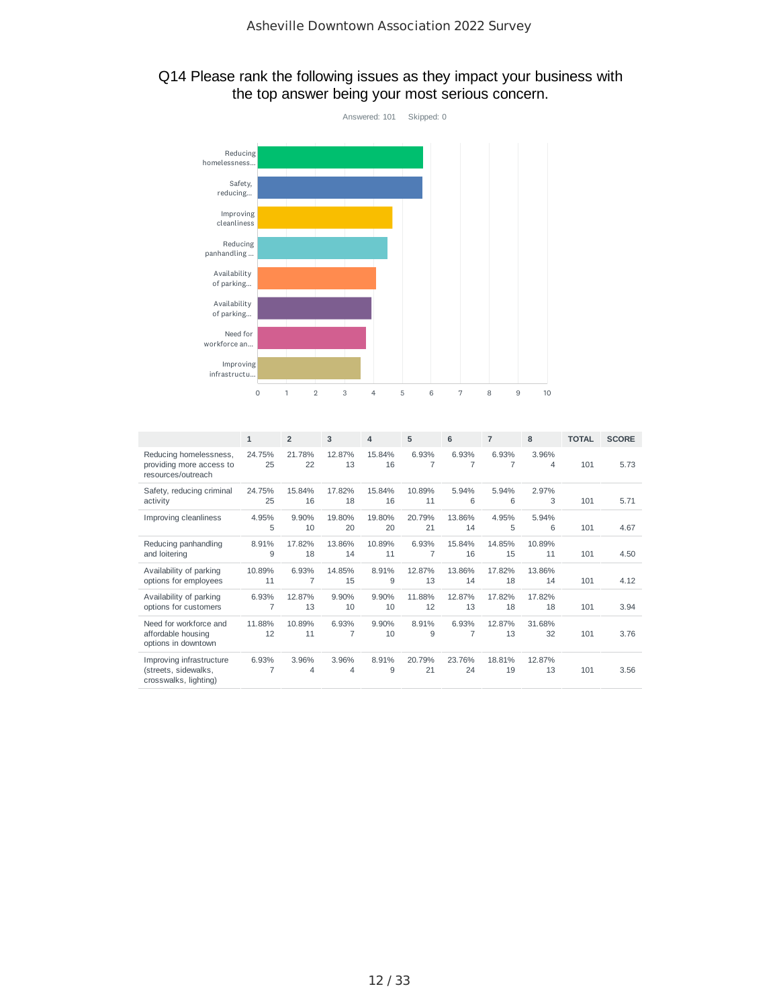### Q14 Please rank the following issues as they impact your business with the top answer being your most serious concern.



|                                                                           | $\mathbf{1}$ | $\overline{2}$          | 3            | 4            | 5            | 6                       | $\overline{7}$ | 8            | <b>TOTAL</b> | <b>SCORE</b> |
|---------------------------------------------------------------------------|--------------|-------------------------|--------------|--------------|--------------|-------------------------|----------------|--------------|--------------|--------------|
| Reducing homelessness,<br>providing more access to<br>resources/outreach  | 24.75%<br>25 | 21.78%<br>22            | 12.87%<br>13 | 15.84%<br>16 | 6.93%<br>7   | 6.93%<br>7              | 6.93%<br>7     | 3.96%<br>4   | 101          | 5.73         |
| Safety, reducing criminal<br>activity                                     | 24.75%<br>25 | 15.84%<br>16            | 17.82%<br>18 | 15.84%<br>16 | 10.89%<br>11 | 5.94%<br>6              | 5.94%<br>6     | 2.97%<br>3   | 101          | 5.71         |
| Improving cleanliness                                                     | 4.95%<br>5   | 9.90%<br>10             | 19.80%<br>20 | 19.80%<br>20 | 20.79%<br>21 | 13.86%<br>14            | 4.95%<br>5     | 5.94%<br>6   | 101          | 4.67         |
| Reducing panhandling<br>and loitering                                     | 8.91%<br>9   | 17.82%<br>18            | 13.86%<br>14 | 10.89%<br>11 | 6.93%<br>7   | 15.84%<br>16            | 14.85%<br>15   | 10.89%<br>11 | 101          | 4.50         |
| Availability of parking<br>options for employees                          | 10.89%<br>11 | 6.93%<br>$\overline{7}$ | 14.85%<br>15 | 8.91%<br>9   | 12.87%<br>13 | 13.86%<br>14            | 17.82%<br>18   | 13.86%<br>14 | 101          | 4.12         |
| Availability of parking<br>options for customers                          | 6.93%<br>7   | 12.87%<br>13            | 9.90%<br>10  | 9.90%<br>10  | 11.88%<br>12 | 12.87%<br>13            | 17.82%<br>18   | 17.82%<br>18 | 101          | 3.94         |
| Need for workforce and<br>affordable housing<br>options in downtown       | 11.88%<br>12 | 10.89%<br>11            | 6.93%<br>7   | 9.90%<br>10  | 8.91%<br>9   | 6.93%<br>$\overline{7}$ | 12.87%<br>13   | 31.68%<br>32 | 101          | 3.76         |
| Improving infrastructure<br>(streets, sidewalks,<br>crosswalks, lighting) | 6.93%        | 3.96%<br>4              | 3.96%<br>4   | 8.91%<br>9   | 20.79%<br>21 | 23.76%<br>24            | 18.81%<br>19   | 12.87%<br>13 | 101          | 3.56         |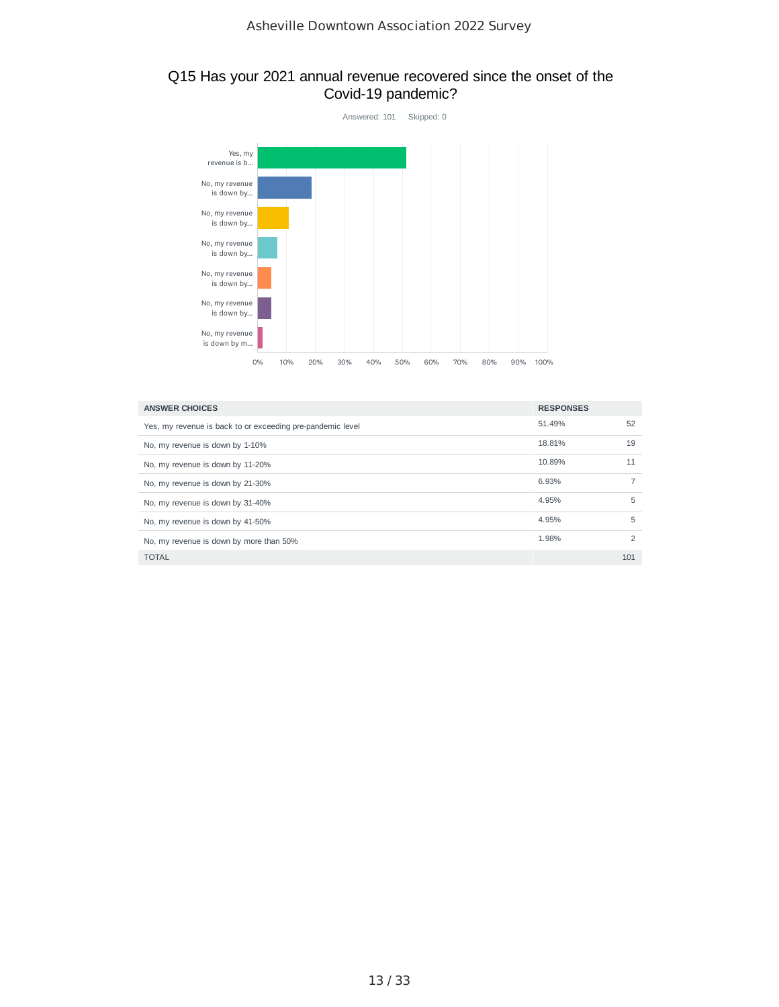#### Q15 Has your 2021 annual revenue recovered since the onset of the Covid-19 pandemic?



| <b>ANSWER CHOICES</b>                                      | <b>RESPONSES</b> |     |
|------------------------------------------------------------|------------------|-----|
| Yes, my revenue is back to or exceeding pre-pandemic level | 51.49%           | 52  |
| No, my revenue is down by 1-10%                            | 18.81%           | 19  |
| No, my revenue is down by 11-20%                           | 10.89%           | 11  |
| No, my revenue is down by 21-30%                           | 6.93%            |     |
| No, my revenue is down by 31-40%                           | 4.95%            | 5   |
| No, my revenue is down by 41-50%                           | 4.95%            | 5   |
| No, my revenue is down by more than 50%                    | 1.98%            | 2   |
| <b>TOTAL</b>                                               |                  | 101 |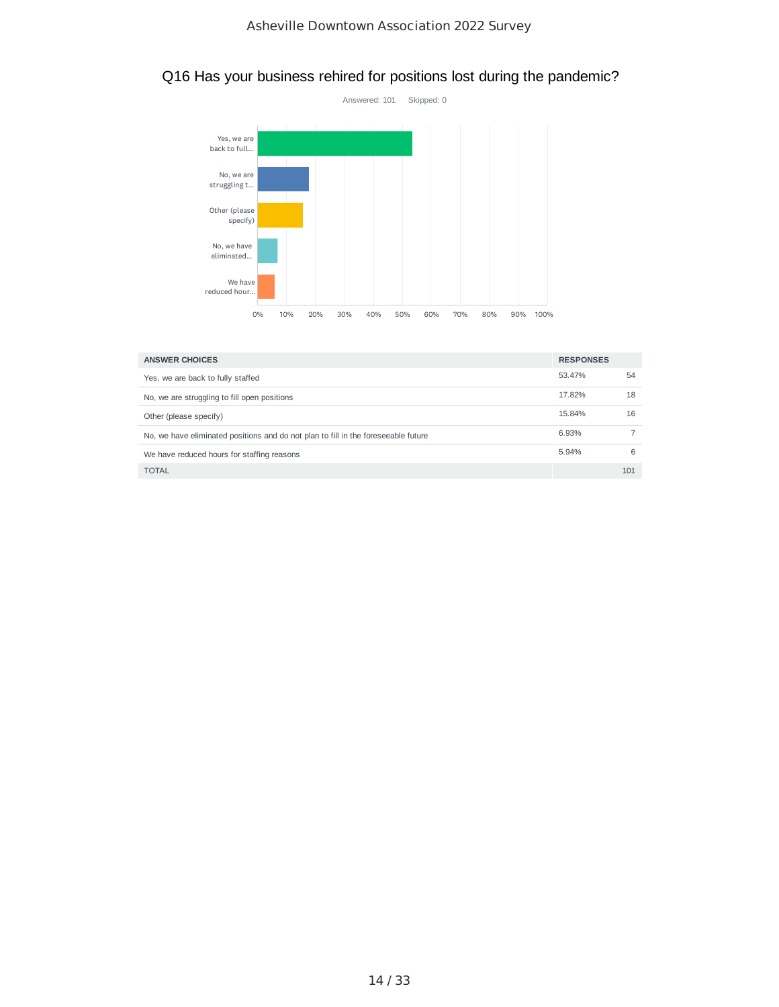

## Q16 Has your business rehired for positions lost during the pandemic?

| <b>ANSWER CHOICES</b>                                                              | <b>RESPONSES</b> |     |
|------------------------------------------------------------------------------------|------------------|-----|
| Yes, we are back to fully staffed                                                  | 53.47%           | 54  |
| No, we are struggling to fill open positions                                       | 17.82%           | 18  |
| Other (please specify)                                                             | 15.84%           | 16  |
| No, we have eliminated positions and do not plan to fill in the foreseeable future | 6.93%            |     |
| We have reduced hours for staffing reasons                                         | 5.94%            | 6   |
| <b>TOTAL</b>                                                                       |                  | 101 |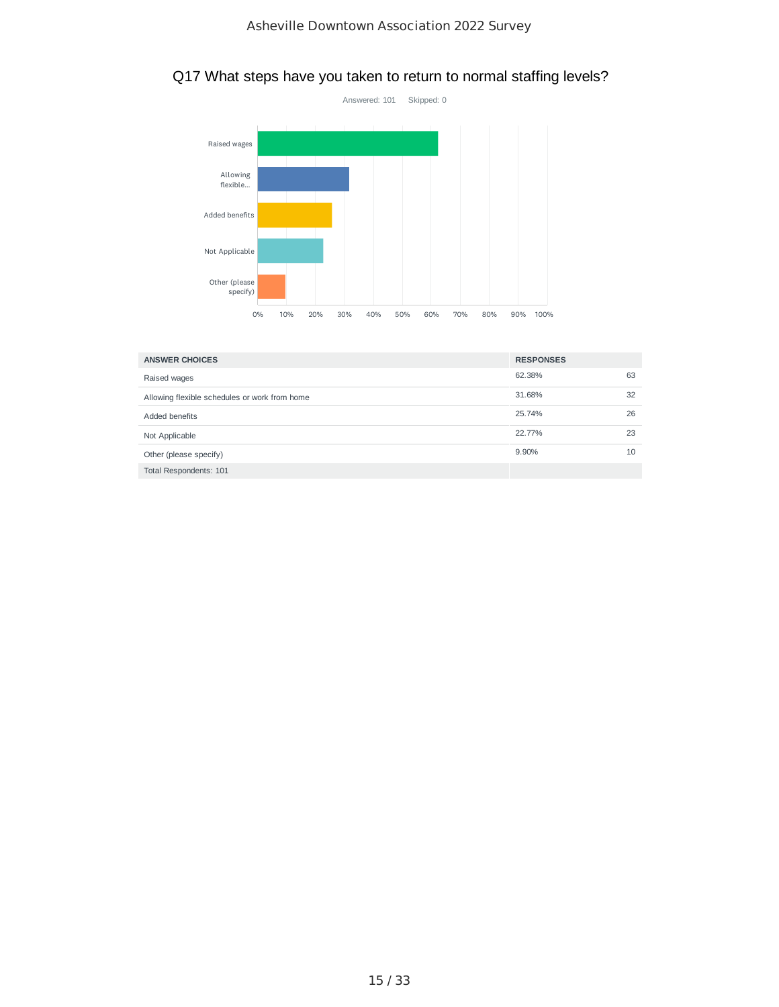

## Q17 What steps have you taken to return to normal staffing levels?

| <b>ANSWER CHOICES</b>                         | <b>RESPONSES</b> |    |
|-----------------------------------------------|------------------|----|
| Raised wages                                  | 62.38%           | 63 |
| Allowing flexible schedules or work from home | 31.68%           | 32 |
| Added benefits                                | 25.74%           | 26 |
| Not Applicable                                | 22.77%           | 23 |
| Other (please specify)                        | 9.90%            | 10 |
| Total Respondents: 101                        |                  |    |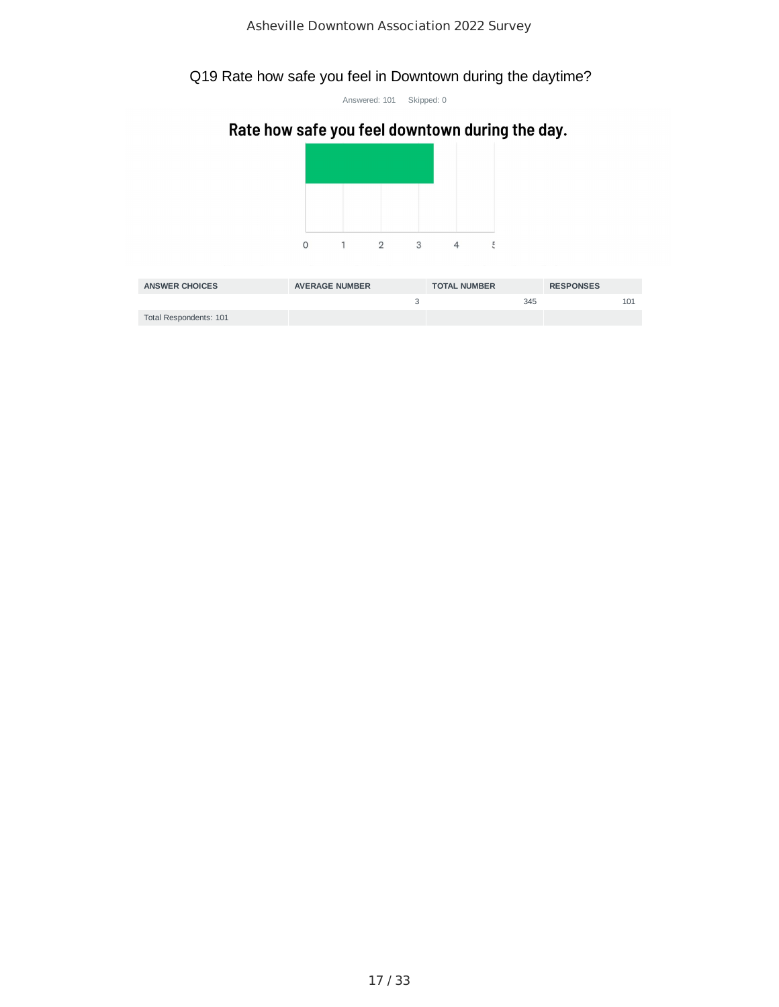## Q19 Rate how safe you feel in Downtown during the daytime?

Answered: 101 Skipped: 0

# Rate how safe you feel downtown during the day.



| <b>ANSWER CHOICES</b>  | <b>AVERAGE NUMBER</b> | <b>TOTAL NUMBER</b> | <b>RESPONSES</b> |
|------------------------|-----------------------|---------------------|------------------|
|                        |                       | 345                 | 101              |
| Total Respondents: 101 |                       |                     |                  |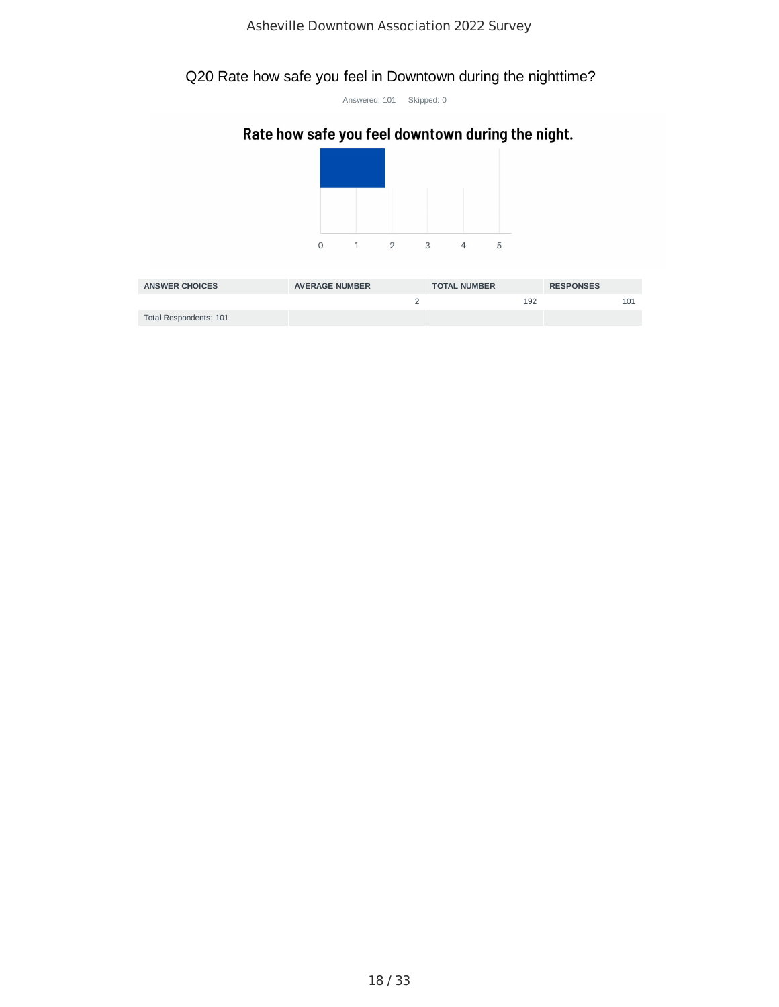## Q20 Rate how safe you feel in Downtown during the nighttime?

Answered: 101 Skipped: 0

## Rate how safe you feel downtown during the night.



| <b>ANSWER CHOICES</b>  | <b>AVERAGE NUMBER</b> | <b>TOTAL NUMBER</b> | <b>RESPONSES</b> |
|------------------------|-----------------------|---------------------|------------------|
|                        |                       | 192                 |                  |
| Total Respondents: 101 |                       |                     |                  |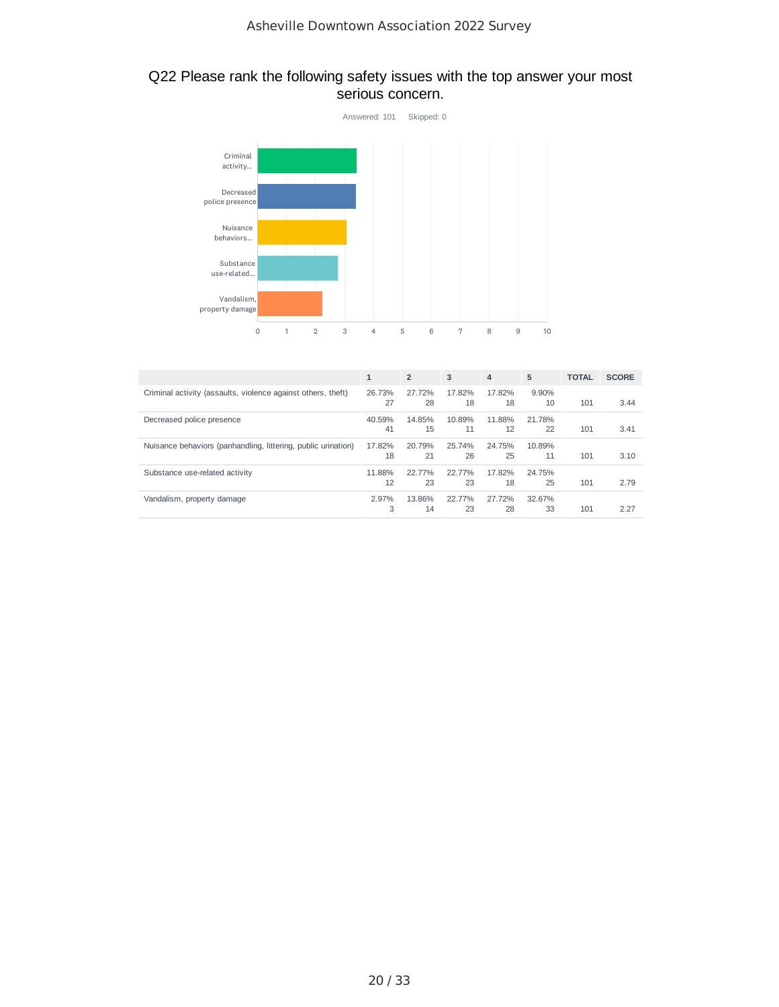#### Q22 Please rank the following safety issues with the top answer your most serious concern.



|                                                               | $\mathbf{1}$ | $\overline{2}$ | 3            | $\overline{4}$ | 5            | <b>TOTAL</b> | <b>SCORE</b> |
|---------------------------------------------------------------|--------------|----------------|--------------|----------------|--------------|--------------|--------------|
| Criminal activity (assaults, violence against others, theft)  | 26.73%<br>27 | 27.72%<br>28   | 17.82%<br>18 | 17.82%<br>18   | 9.90%<br>10  | 101          | 3.44         |
| Decreased police presence                                     | 40.59%<br>41 | 14.85%<br>15   | 10.89%<br>11 | 11.88%<br>12   | 21.78%<br>22 | 101          | 3.41         |
| Nuisance behaviors (panhandling, littering, public urination) | 17.82%<br>18 | 20.79%<br>21   | 25.74%<br>26 | 24.75%<br>25   | 10.89%<br>11 | 101          | 3.10         |
| Substance use-related activity                                | 11.88%<br>12 | 22.77%<br>23   | 22.77%<br>23 | 17.82%<br>18   | 24.75%<br>25 | 101          | 2.79         |
| Vandalism, property damage                                    | 2.97%<br>3   | 13.86%<br>14   | 22.77%<br>23 | 27.72%<br>28   | 32.67%<br>33 | 101          | 2.27         |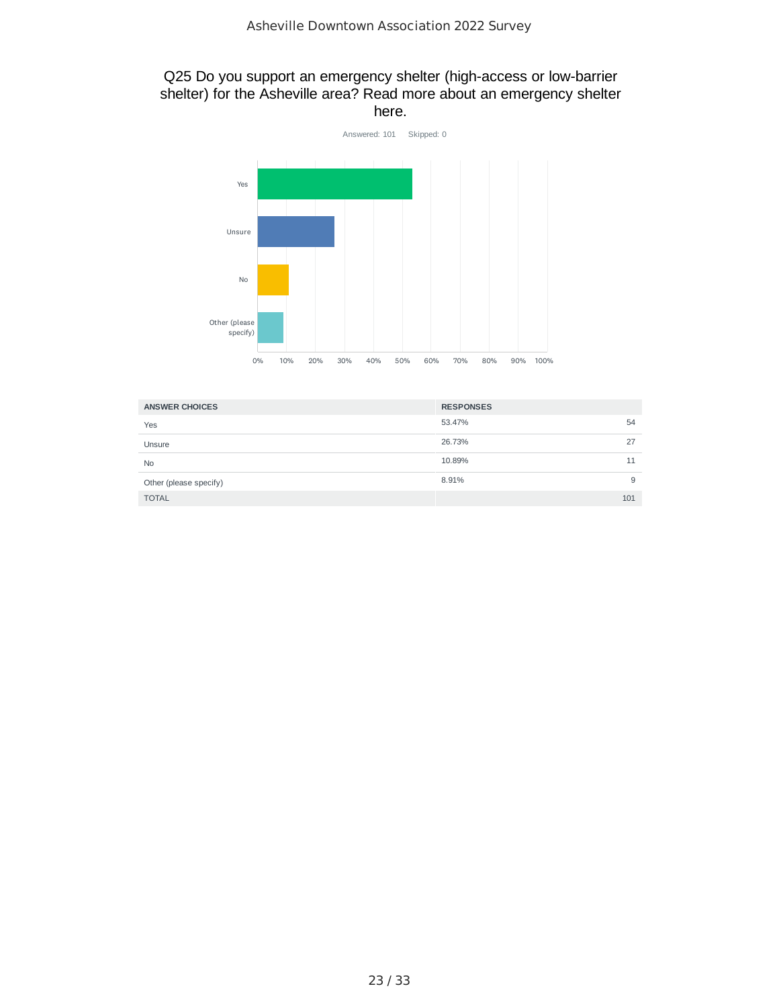#### Q25 Do you support an emergency shelter (high-access or low-barrier shelter) for the Asheville area? Read more about an emergency shelter here.



| <b>ANSWER CHOICES</b>  | <b>RESPONSES</b> |     |
|------------------------|------------------|-----|
| Yes                    | 53.47%           | 54  |
| Unsure                 | 26.73%           | 27  |
| <b>No</b>              | 10.89%           | 11  |
| Other (please specify) | 8.91%            | 9   |
| <b>TOTAL</b>           |                  | 101 |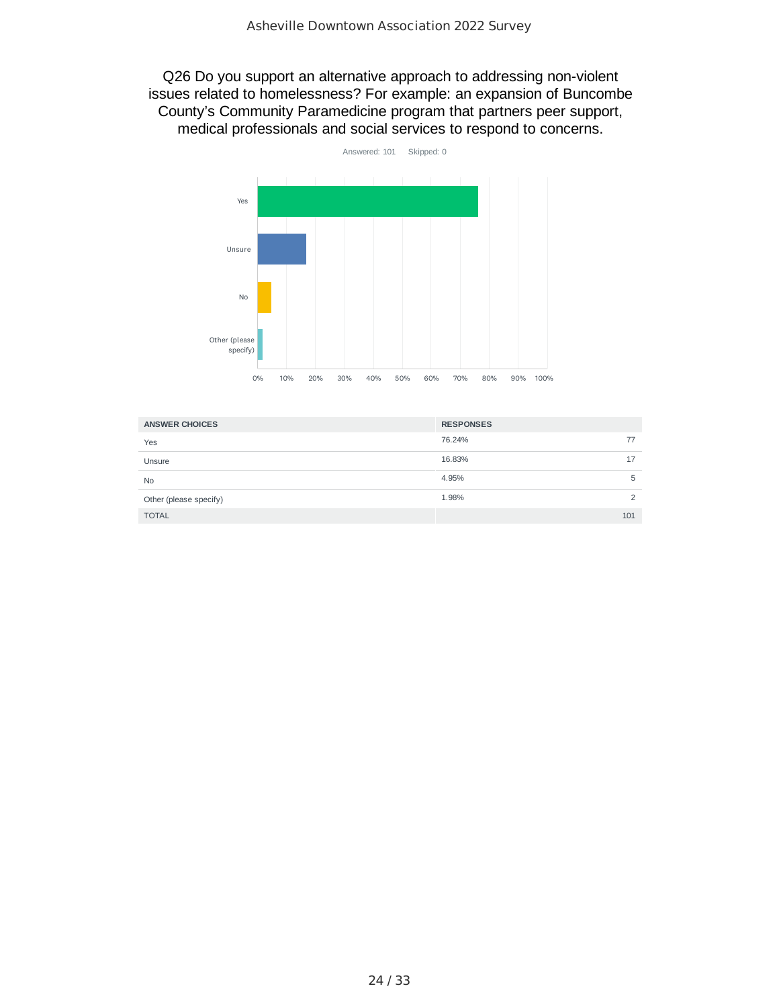Q26 Do you support an alternative approach to addressing non-violent issues related to homelessness? For example: an expansion of Buncombe County's Community Paramedicine program that partners peer support, medical professionals and social services to respond to concerns.



| <b>ANSWER CHOICES</b>  | <b>RESPONSES</b> |     |
|------------------------|------------------|-----|
| Yes                    | 76.24%           | 77  |
| Unsure                 | 16.83%           | 17  |
| <b>No</b>              | 4.95%            | 5   |
| Other (please specify) | 1.98%            |     |
| <b>TOTAL</b>           |                  | 101 |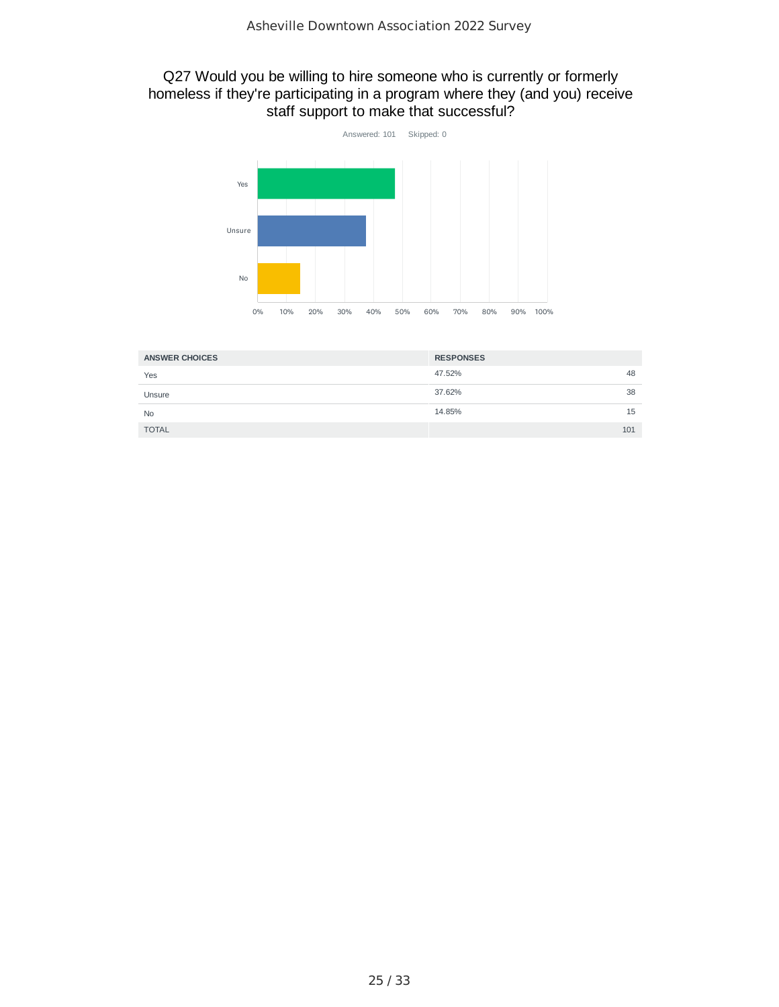#### Q27 Would you be willing to hire someone who is currently or formerly homeless if they're participating in a program where they (and you) receive staff support to make that successful?



| <b>ANSWER CHOICES</b> | <b>RESPONSES</b> |
|-----------------------|------------------|
| Yes                   | 47.52%<br>48     |
| Unsure                | 37.62%<br>38     |
| <b>No</b>             | 14.85%<br>15     |
| <b>TOTAL</b>          | 101              |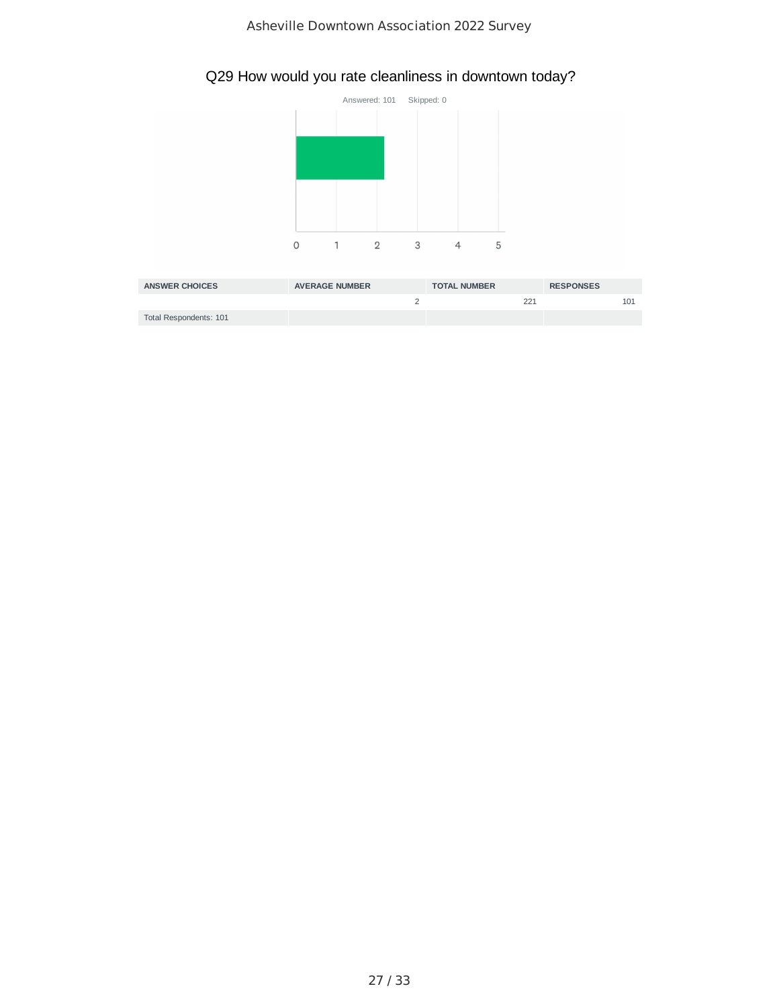## Q29 How would you rate cleanliness in downtown today?



| <b>ANSWER CHOICES</b>  | <b>AVERAGE NUMBER</b> | <b>TOTAL NUMBER</b> | <b>RESPONSES</b> |
|------------------------|-----------------------|---------------------|------------------|
|                        |                       | 221                 |                  |
| Total Respondents: 101 |                       |                     |                  |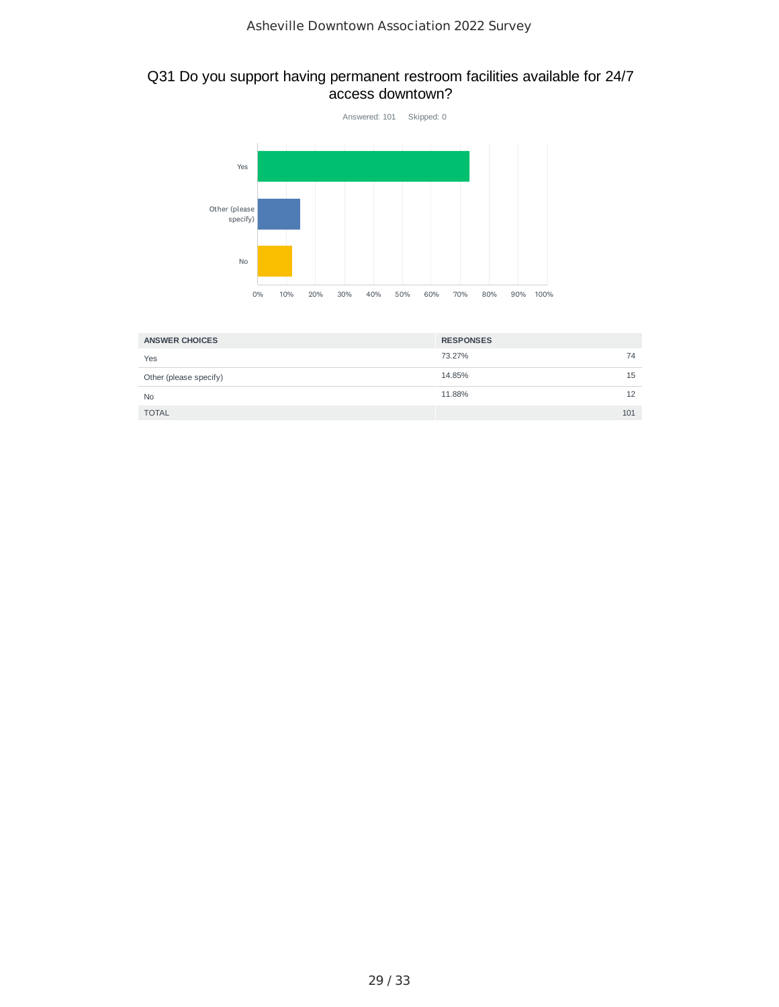#### Q31 Do you support having permanent restroom facilities available for 24/7 access downtown?



| <b>ANSWER CHOICES</b>  | <b>RESPONSES</b> |     |
|------------------------|------------------|-----|
| Yes                    | 73.27%           | 74  |
| Other (please specify) | 14.85%           | 15  |
| <b>No</b>              | 11.88%           | 12  |
| <b>TOTAL</b>           |                  | 101 |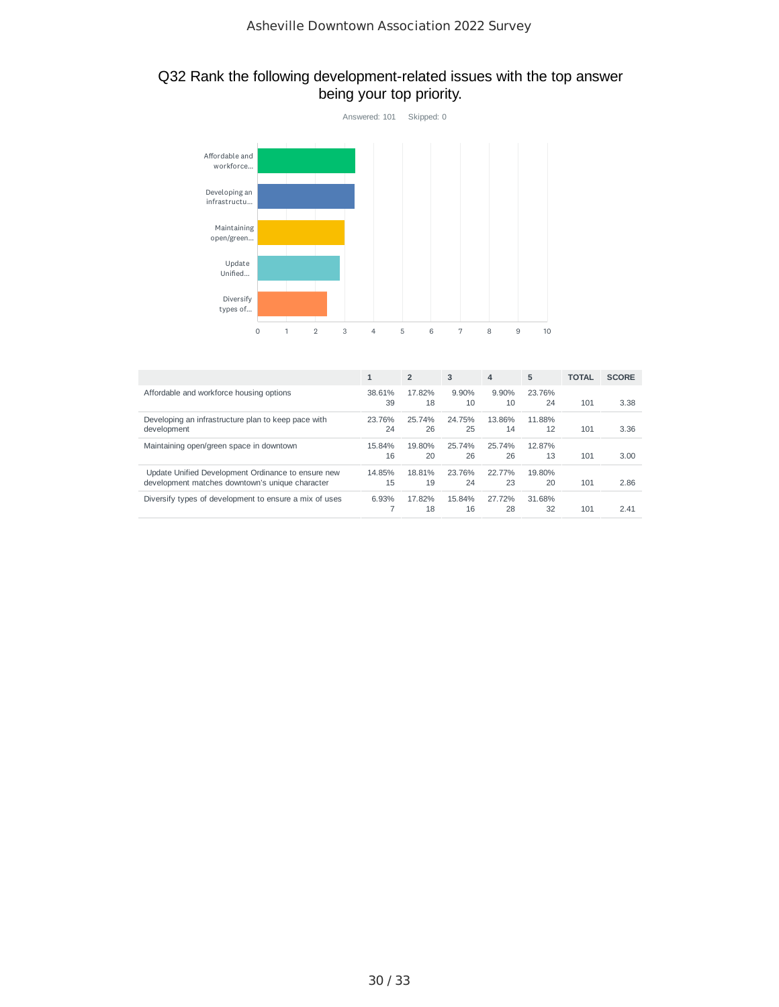#### Q32 Rank the following development-related issues with the top answer being your top priority.



|                                                                                                       | $\mathbf{1}$ | $\overline{2}$ | 3            | $\overline{4}$ | 5            | <b>TOTAL</b> | <b>SCORE</b> |
|-------------------------------------------------------------------------------------------------------|--------------|----------------|--------------|----------------|--------------|--------------|--------------|
| Affordable and workforce housing options                                                              | 38.61%<br>39 | 17.82%<br>18   | 9.90%<br>10  | 9.90%<br>10    | 23.76%<br>24 | 101          | 3.38         |
| Developing an infrastructure plan to keep pace with<br>development                                    | 23.76%<br>24 | 25.74%<br>26   | 24.75%<br>25 | 13.86%<br>14   | 11.88%<br>12 | 101          | 3.36         |
| Maintaining open/green space in downtown                                                              | 15.84%<br>16 | 19.80%<br>20   | 25.74%<br>26 | 25.74%<br>26   | 12.87%<br>13 | 101          | 3.00         |
| Update Unified Development Ordinance to ensure new<br>development matches downtown's unique character | 14.85%<br>15 | 18.81%<br>19   | 23.76%<br>24 | 22 77%<br>23   | 19.80%<br>20 | 101          | 2.86         |
| Diversify types of development to ensure a mix of uses                                                | 6.93%        | 17.82%<br>18   | 15.84%<br>16 | 27.72%<br>28   | 31.68%<br>32 | 101          | 2.41         |